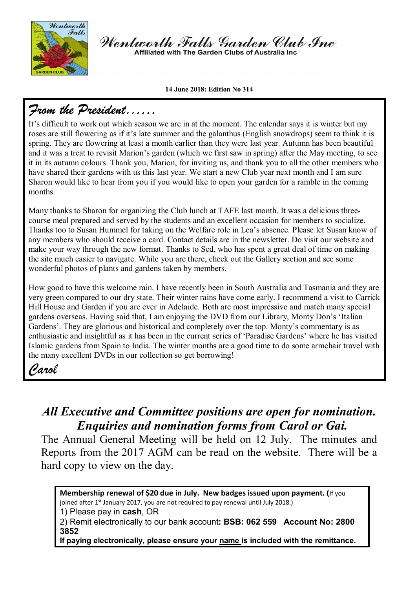

Wentworth Falls Garden Club Inc Affiliated with The Garden Clubs of Australia Ing

#### **14 June 2018: Edition No 314**

## *From the President……*

It's difficult to work out which season we are in at the moment. The calendar says it is winter but my roses are still flowering as if it's late summer and the galanthus (English snowdrops) seem to think it is spring. They are flowering at least a month earlier than they were last year. Autumn has been beautiful and it was a treat to revisit Marion's garden (which we first saw in spring) after the May meeting, to see it in its autumn colours. Thank you, Marion, for inviting us, and thank you to all the other members who have shared their gardens with us this last year. We start a new Club year next month and I am sure Sharon would like to hear from you if you would like to open your garden for a ramble in the coming months.

Many thanks to Sharon for organizing the Club lunch at TAFE last month. It was a delicious threecourse meal prepared and served by the students and an excellent occasion for members to socialize. Thanks too to Susan Hummel for taking on the Welfare role in Lea's absence. Please let Susan know of any members who should receive a card. Contact details are in the newsletter. Do visit our website and make your way through the new format. Thanks to Sed, who has spent a great deal of time on making the site much easier to navigate. While you are there, check out the Gallery section and see some wonderful photos of plants and gardens taken by members.

How good to have this welcome rain. I have recently been in South Australia and Tasmania and they are very green compared to our dry state. Their winter rains have come early. I recommend a visit to Carrick Hill House and Garden if you are ever in Adelaide. Both are most impressive and match many special gardens overseas. Having said that, I am enjoying the DVD from our Library, Monty Don's 'Italian Gardens'. They are glorious and historical and completely over the top. Monty's commentary is as enthusiastic and insightful as it has been in the current series of 'Paradise Gardens' where he has visited Islamic gardens from Spain to India. The winter months are a good time to do some armchair travel with the many excellent DVDs in our collection so get borrowing!

### *Carol*

### *All Executive and Committee positions are open for nomination. Enquiries and nomination forms from Carol or Gai.*

The Annual General Meeting will be held on 12 July. The minutes and Reports from the 2017 AGM can be read on the website. There will be a hard copy to view on the day.

**Membership renewal of \$20 due in July. New badges issued upon payment. (**If you joined after  $1^{st}$  January 2017, you are not required to pay renewal until July 2018.) 1) Please pay in **cash**, OR 2) Remit electronically to our bank account**: BSB: 062 559 Account No: 2800 3852 If paying electronically, please ensure your name is included with the remittance.**